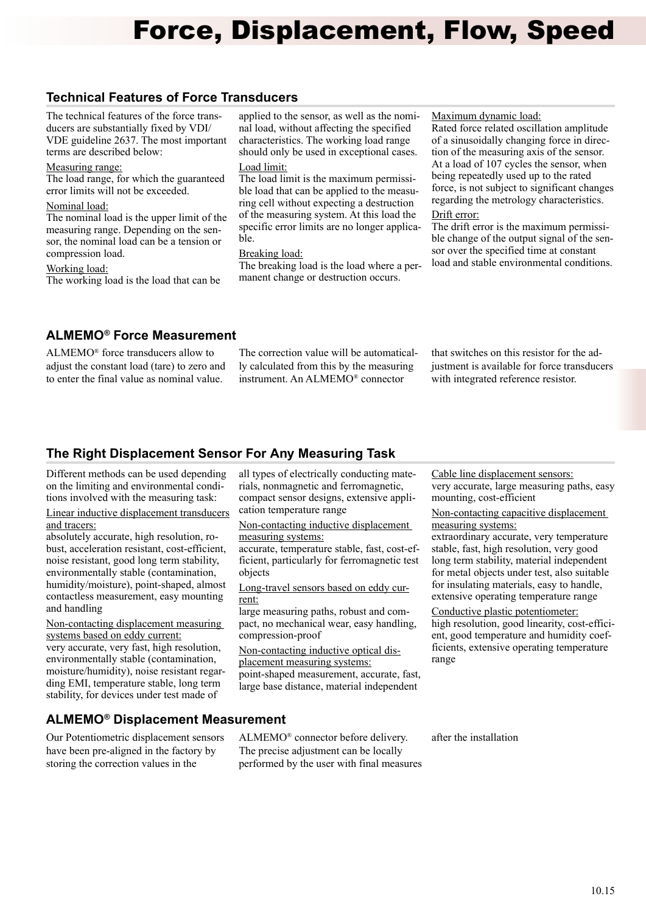# Force, Displacement, Flow, Speed

# **Technical Features of Force Transducers**

The technical features of the force transducers are substantially fixed by VDI/ VDE guideline 2637. The most important terms are described below:

## Measuring range:

The load range, for which the guaranteed error limits will not be exceeded.

## Nominal load:

The nominal load is the upper limit of the measuring range. Depending on the sensor, the nominal load can be a tension or compression load.

#### Working load:

The working load is the load that can be

applied to the sensor, as well as the nominal load, without affecting the specified characteristics. The working load range should only be used in exceptional cases. Load limit:

The load limit is the maximum permissible load that can be applied to the measuring cell without expecting a destruction of the measuring system. At this load the specific error limits are no longer applicable.

## Breaking load:

The breaking load is the load where a permanent change or destruction occurs.

## Maximum dynamic load:

Rated force related oscillation amplitude of a sinusoidally changing force in direction of the measuring axis of the sensor. At a load of 107 cycles the sensor, when being repeatedly used up to the rated force, is not subject to significant changes regarding the metrology characteristics.

## Drift error:

The drift error is the maximum permissible change of the output signal of the sensor over the specified time at constant load and stable environmental conditions.

## **ALMEMO® Force Measurement**

ALMEMO® force transducers allow to adjust the constant load (tare) to zero and to enter the final value as nominal value.

The correction value will be automatically calculated from this by the measuring instrument. An ALMEMO® connector

that switches on this resistor for the adjustment is available for force transducers with integrated reference resistor.

# **The Right Displacement Sensor For Any Measuring Task**

Different methods can be used depending on the limiting and environmental conditions involved with the measuring task:

## Linear inductive displacement transducers and tracers:

absolutely accurate, high resolution, robust, acceleration resistant, cost-efficient, noise resistant, good long term stability, environmentally stable (contamination, humidity/moisture), point-shaped, almost contactless measurement, easy mounting and handling

Non-contacting displacement measuring systems based on eddy current: very accurate, very fast, high resolution, environmentally stable (contamination, moisture/humidity), noise resistant regarding EMI, temperature stable, long term stability, for devices under test made of

all types of electrically conducting materials, nonmagnetic and ferromagnetic, compact sensor designs, extensive application temperature range

Non-contacting inductive displacement measuring systems:

accurate, temperature stable, fast, cost-efficient, particularly for ferromagnetic test objects

Long-travel sensors based on eddy current:

large measuring paths, robust and compact, no mechanical wear, easy handling, compression-proof

Non-contacting inductive optical displacement measuring systems: point-shaped measurement, accurate, fast, large base distance, material independent

Cable line displacement sensors: very accurate, large measuring paths, easy mounting, cost-efficient

Non-contacting capacitive displacement measuring systems:

extraordinary accurate, very temperature stable, fast, high resolution, very good long term stability, material independent for metal objects under test, also suitable for insulating materials, easy to handle, extensive operating temperature range

Conductive plastic potentiometer: high resolution, good linearity, cost-efficient, good temperature and humidity coefficients, extensive operating temperature range

## **ALMEMO® Displacement Measurement**

Our Potentiometric displacement sensors have been pre-aligned in the factory by storing the correction values in the

ALMEMO® connector before delivery. The precise adjustment can be locally performed by the user with final measures after the installation